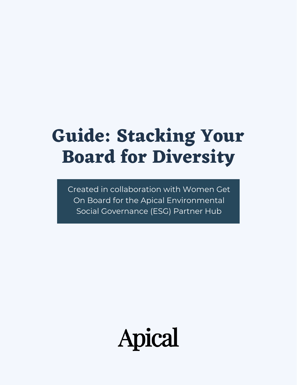# **Guide: Stacking Your Board for Diversity**

Created in collaboration with Women Get On Board for the Apical Environmental Social Governance (ESG) Partner Hub

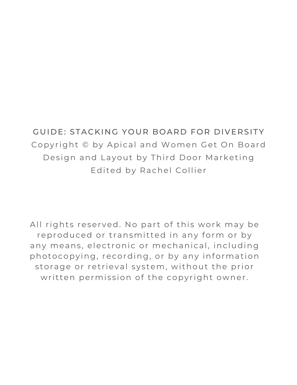### GUIDE: STACKING YOUR BOARD FOR DIVERSITY Copyright © by Apical and Women Get On Board Design and Layout by Third Door Marketing Edited by Rachel Collier

All rights reserved. No part of this work may be reproduced or transmitted in any form or by any means, electronic or mechanical, including photocopying, recording, or by any information storage or retrieval system, without the prior written permission of the copyright owner.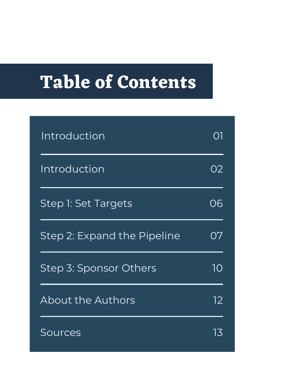# **Table of Contents**

| <b>Introduction</b>         |    |
|-----------------------------|----|
| Introduction                | 02 |
| Step 1: Set Targets         | 06 |
| Step 2: Expand the Pipeline | Ο7 |
| Step 3: Sponsor Others      | 10 |
| About the Authors           | 12 |
| Sources                     |    |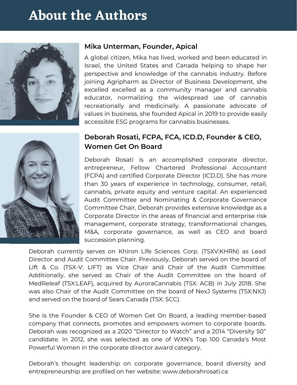### **About the Authors**





A global citizen, Mika has lived, worked and been educated in Israel, the United States and Canada helping to shape her perspective and knowledge of the cannabis industry. Before joining Agripharm as Director of Business Development, she excelled excelled as a community manager and cannabis educator, normalizing the widespread use of cannabis recreationally and medicinally. A passionate advocate of values in business, she founded Apical in 2019 to provide easily accessible ESG programs for cannabis businesses.

#### **Deborah Rosati, FCPA, FCA, ICD.D, Founder & CEO, Women Get On Board**

Deborah Rosati is an accomplished corporate director, entrepreneur, Fellow Chartered Professional Accountant (FCPA) and certified Corporate Director (ICD.D). She has more than 30 years of experience in technology, consumer, retail, cannabis, private equity and venture capital. An experienced Audit Committee and Nominating & Corporate Governance Committee Chair, Deborah provides extensive knowledge as a Corporate Director in the areas of financial and enterprise risk management, corporate strategy, transformational changes, M&A, corporate governance, as well as CEO and board succession planning.

Deborah currently serves on Khiron Life Sciences Corp. (TSXV:KHRN) as Lead Director and Audit Committee Chair. Previously, Deborah served on the board of Lift & Co. (TSX-V: LIFT) as Vice Chair and Chair of the Audit Committee. Additionally, she served as Chair of the Audit Committee on the board of MedReleaf (TSX:LEAF), acquired by AuroraCannabis (TSX: ACB) in July 2018. She was also Chair of the Audit Committee on the board of NexJ Systems (TSX:NXJ) and served on the board of Sears Canada (TSX: SCC).

She is the Founder & CEO of Women Get On Board, a leading member-based company that connects, promotes and empowers women to corporate boards. Deborah was recognized as a 2020 "Director to Watch" and a 2014 "Diversity 50" candidate. In 2012, she was selected as one of WXN's Top 100 Canada's Most Powerful Women in the corporate director award category.

Deborah's thought leadership on corporate governance, board diversity and entrepreneurship are profiled on her website: www.deborahrosati.ca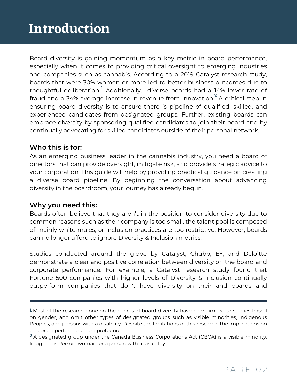Board diversity is gaining momentum as a key metric in board performance, especially when it comes to providing critical oversight to emerging industries and companies such as cannabis. According to a 2019 Catalyst research study, boards that were 30% women or more led to better business outcomes due to thoughtful deliberation.<sup>1</sup> Additionally, diverse boards had a 14% lower rate of fraud and a 34% average increase in revenue from innovation. $^{\text{2}}$  A critical step in ensuring board diversity is to ensure there is pipeline of qualified, skilled, and experienced candidates from designated groups. Further, existing boards can embrace diversity by sponsoring qualified candidates to join their board and by continually advocating for skilled candidates outside of their personal network.

#### **Who this is for:**

As an emerging business leader in the cannabis industry, you need a board of directors that can provide oversight, mitigate risk, and provide strategic advice to your corporation. This guide will help by providing practical guidance on creating a diverse board pipeline. By beginning the conversation about advancing diversity in the boardroom, your journey has already begun.

#### **Why you need this:**

Boards often believe that they aren't in the position to consider diversity due to common reasons such as their company is too small, the talent pool is composed of mainly white males, or inclusion practices are too restrictive. However, boards can no longer afford to ignore Diversity & Inclusion metrics.

Studies conducted around the globe by Catalyst, Chubb, EY, and Deloitte demonstrate a clear and positive correlation between diversity on the board and corporate performance. For example, a Catalyst research study found that Fortune 500 companies with higher levels of Diversity & Inclusion continually outperform companies that don't have diversity on their and boards and

throughout the organization are set by the tone at the highest level—the board.

**<sup>1</sup>** Most of the research done on the effects of board diversity have been limited to studies based on gender, and omit other types of designated groups such as visible minorities, Indigenous talent retention and group performance. Peoples, and persons with a disability. Despite the limitations of this research, the implications on corporate performance are profound.

A designated group under the Canada Business Corporations Act (CBCA) is a visible minority, **2**Indigenous Person, woman, or a person with a disability.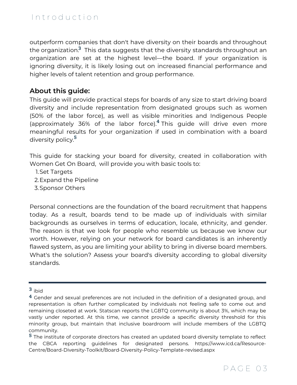outperform companies that don't have diversity on their boards and throughout the organization.<sup>3</sup> This data suggests that the diversity standards throughout an organization are set at the highest level—the board. If your organization is ignoring diversity, it is likely losing out on increased financial performance and higher levels of talent retention and group performance.

#### **About this guide:**

This guide will provide practical steps for boards of any size to start driving board diversity and include representation from designated groups such as women (50% of the labor force), as well as visible minorities and Indigenous People (approximately 36% of the labor force).<sup>4</sup> This guide will drive even more meaningful results for your organization if used in combination with a board diversity policy. **5**

This guide for stacking your board for diversity, created in collaboration with Women Get On Board, will provide you with basic tools to:

- 1. Set Targets
- 2. Expand the Pipeline
- 3. Sponsor Others

Personal connections are the foundation of the board recruitment that happens today. As a result, boards tend to be made up of individuals with similar backgrounds as ourselves in terms of education, locale, ethnicity, and gender. The reason is that we look for people who resemble us because we know our worth. However, relying on your network for board candidates is an inherently flawed system, as you are limiting your ability to bring in diverse board members. What's the solution? Assess your board's diversity according to global diversity standards.

**<sup>3</sup>** ibid

 $^{\textbf{4}}$  Gender and sexual preferences are not included in the definition of a designated group, and representation is often further complicated by individuals not feeling safe to come out and remaining closeted at work. Statscan reports the LGBTQ community is about 3%, which may be vastly under reported. At this time, we cannot provide a specific diversity threshold for this minority group, but maintain that inclusive boardroom will include members of the LGBTQ community.

The institute of corporate directors has created an updated board diversity template to reflect **5**the CBCA reporting guidelines for designated persons. https://www.icd.ca/Resource-Centre/Board-Diversity-Toolkit/Board-Diversity-Policy-Template-revised.aspx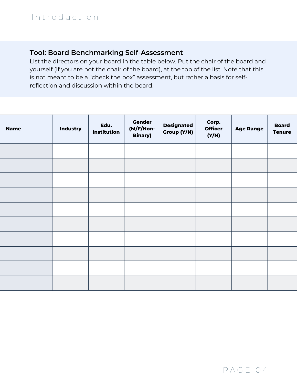#### **Tool: Board Benchmarking Self-Assessment**

List the directors on your board in the table below. Put the chair of the board and yourself (if you are not the chair of the board), at the top of the list. Note that this is not meant to be a "check the box" assessment, but rather a basis for selfreflection and discussion within the board.

| <b>Name</b> | <b>Industry</b> | Edu.<br>Institution | <b>Gender</b><br>(M/F/Non-<br><b>Binary)</b> | <b>Designated</b><br>Group (Y/N) | Corp.<br><b>Officer</b><br>(Y/N) | <b>Age Range</b> | <b>Board</b><br><b>Tenure</b> |
|-------------|-----------------|---------------------|----------------------------------------------|----------------------------------|----------------------------------|------------------|-------------------------------|
|             |                 |                     |                                              |                                  |                                  |                  |                               |
|             |                 |                     |                                              |                                  |                                  |                  |                               |
|             |                 |                     |                                              |                                  |                                  |                  |                               |
|             |                 |                     |                                              |                                  |                                  |                  |                               |
|             |                 |                     |                                              |                                  |                                  |                  |                               |
|             |                 |                     |                                              |                                  |                                  |                  |                               |
|             |                 |                     |                                              |                                  |                                  |                  |                               |
|             |                 |                     |                                              |                                  |                                  |                  |                               |
|             |                 |                     |                                              |                                  |                                  |                  |                               |
|             |                 |                     |                                              |                                  |                                  |                  |                               |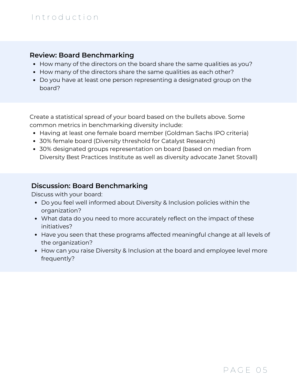#### I n t r o d u c t i o n

#### **Review: Board Benchmarking**

- How many of the directors on the board share the same qualities as you?
- How many of the directors share the same qualities as each other?
- Do you have at least one person representing a designated group on the board?

Create a statistical spread of your board based on the bullets above. Some common metrics in benchmarking diversity include:

- Having at least one female board member (Goldman Sachs IPO criteria)
- 30% female board (Diversity threshold for Catalyst Research)
- 30% designated groups representation on board (based on median from Diversity Best Practices Institute as well as diversity advocate Janet Stovall)

#### **Discussion: Board Benchmarking**

Discuss with your board:

- Do you feel well informed about Diversity & Inclusion policies within the organization?
- What data do you need to more accurately reflect on the impact of these initiatives?
- Have you seen that these programs affected meaningful change at all levels of the organization?
- How can you raise Diversity & Inclusion at the board and employee level more frequently?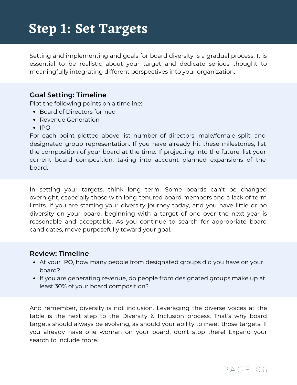### **Step 1: Set Targets**

Setting and implementing and goals for board diversity is a gradual process. It is essential to be realistic about your target and dedicate serious thought to meaningfully integrating different perspectives into your organization.

#### **Goal Setting: Timeline**

Plot the following points on a timeline:

- Board of Directors formed
- Revenue Generation
- $\cdot$  IPO

For each point plotted above list number of directors, male/female split, and designated group representation. If you have already hit these milestones, list the composition of your board at the time. If projecting into the future, list your current board composition, taking into account planned expansions of the board.

In setting your targets, think long term. Some boards can't be changed overnight, especially those with long-tenured board members and a lack of term limits. If you are starting your diversity journey today, and you have little or no diversity on your board, beginning with a target of one over the next year is reasonable and acceptable. As you continue to search for appropriate board candidates, move purposefully toward your goal.

#### **Review: Timeline**

- At your IPO, how many people from designated groups did you have on your board?
- If you are generating revenue, do people from designated groups make up at least 30% of your board composition?

And remember, diversity is not inclusion. Leveraging the diverse voices at the table is the next step to the Diversity & Inclusion process. That's why board targets should always be evolving, as should your ability to meet those targets. If you already have one woman on your board, don't stop there! Expand your search to include more.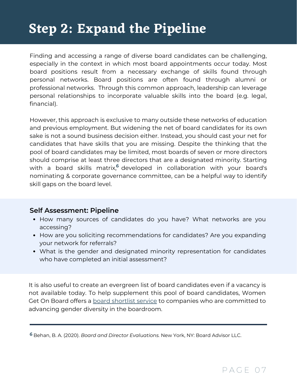### **Step 2: Expand the Pipeline**

Finding and accessing a range of diverse board candidates can be challenging, especially in the context in which most board appointments occur today. Most board positions result from a necessary exchange of skills found through personal networks. Board positions are often found through alumni or professional networks. Through this common approach, leadership can leverage personal relationships to incorporate valuable skills into the board (e.g. legal, financial).

However, this approach is exclusive to many outside these networks of education and previous employment. But widening the net of board candidates for its own sake is not a sound business decision either. Instead, you should cast your net for candidates that have skills that you are missing. Despite the thinking that the pool of board candidates may be limited, most boards of seven or more directors should comprise at least three directors that are a designated minority. Starting with a board skills matrix,<sup>6</sup> developed in collaboration with your board's nominating & corporate governance committee, can be a helpful way to identify skill gaps on the board level.

#### **Self Assessment: Pipeline**

- How many sources of candidates do you have? What networks are you accessing?
- How are you soliciting recommendations for candidates? Are you expanding your network for referrals?
- What is the gender and designated minority representation for candidates who have completed an initial assessment?

It is also useful to create an evergreen list of board candidates even if a vacancy is not available today. To help supplement this pool of board candidates, Women Get On Board offers a **board [shortlist](https://www.womengetonboard.ca/board-services/) service** to companies who are committed to advancing gender diversity in the boardroom.

Behan, B. A. (2020). *Board and Director Evaluations.* New York, NY: Board Advisor LLC. **6**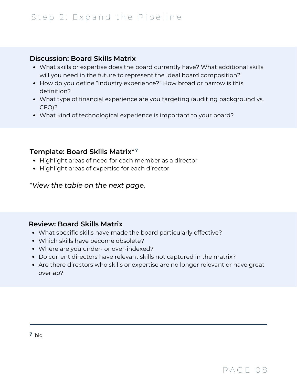#### **Discussion: Board Skills Matrix**

- What skills or expertise does the board currently have? What additional skills will you need in the future to represent the ideal board composition?
- How do you define "industry experience?" How broad or narrow is this definition?
- What type of financial experience are you targeting (auditing background vs. CFO)?
- What kind of technological experience is important to your board?

#### **Template: Board Skills Matrix\* 7**

- Highlight areas of need for each member as a director
- Highlight areas of expertise for each director

\**View the table on the next page.*

#### **Review: Board Skills Matrix**

- What specific skills have made the board particularly effective?
- Which skills have become obsolete?
- Where are you under- or over-indexed?
- Do current directors have relevant skills not captured in the matrix?
- Are there directors who skills or expertise are no longer relevant or have great overlap?

**7** ibid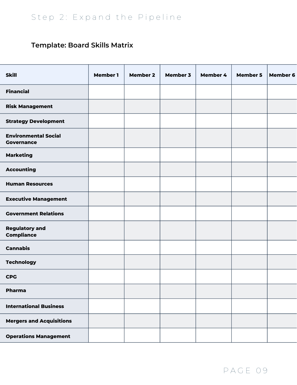### **Template: Board Skills Matrix**

| <b>Skill</b>                                     | <b>Member 1</b> | <b>Member 2</b> | <b>Member 3</b> | Member 4 | <b>Member 5</b> | <b>Member 6</b> |
|--------------------------------------------------|-----------------|-----------------|-----------------|----------|-----------------|-----------------|
|                                                  |                 |                 |                 |          |                 |                 |
| <b>Financial</b>                                 |                 |                 |                 |          |                 |                 |
| <b>Risk Management</b>                           |                 |                 |                 |          |                 |                 |
| <b>Strategy Development</b>                      |                 |                 |                 |          |                 |                 |
| <b>Environmental Social</b><br><b>Governance</b> |                 |                 |                 |          |                 |                 |
| <b>Marketing</b>                                 |                 |                 |                 |          |                 |                 |
| <b>Accounting</b>                                |                 |                 |                 |          |                 |                 |
| <b>Human Resources</b>                           |                 |                 |                 |          |                 |                 |
| <b>Executive Management</b>                      |                 |                 |                 |          |                 |                 |
| <b>Government Relations</b>                      |                 |                 |                 |          |                 |                 |
| <b>Regulatory and</b><br><b>Compliance</b>       |                 |                 |                 |          |                 |                 |
| <b>Cannabis</b>                                  |                 |                 |                 |          |                 |                 |
| <b>Technology</b>                                |                 |                 |                 |          |                 |                 |
| <b>CPG</b>                                       |                 |                 |                 |          |                 |                 |
| <b>Pharma</b>                                    |                 |                 |                 |          |                 |                 |
| <b>International Business</b>                    |                 |                 |                 |          |                 |                 |
| <b>Mergers and Acquisitions</b>                  |                 |                 |                 |          |                 |                 |
| <b>Operations Management</b>                     |                 |                 |                 |          |                 |                 |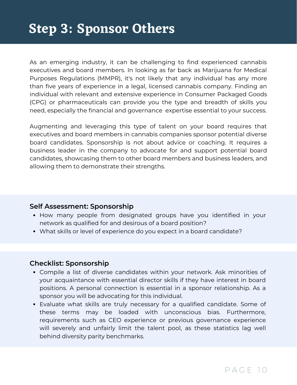As an emerging industry, it can be challenging to find experienced cannabis executives and board members. In looking as far back as Marijuana for Medical Purposes Regulations (MMPR), it's not likely that any individual has any more than five years of experience in a legal, licensed cannabis company. Finding an individual with relevant and extensive experience in Consumer Packaged Goods (CPG) or pharmaceuticals can provide you the type and breadth of skills you need, especially the financial and governance expertise essential to your success.

Augmenting and leveraging this type of talent on your board requires that executives and board members in cannabis companies sponsor potential diverse board candidates. Sponsorship is not about advice or coaching. It requires a business leader in the company to advocate for and support potential board candidates, showcasing them to other board members and business leaders, and allowing them to demonstrate their strengths.

#### **Self Assessment: Sponsorship**

- How many people from designated groups have you identified in your network as qualified for and desirous of a board position?
- What skills or level of experience do you expect in a board candidate?

#### **Checklist: Sponsorship**

- Compile a list of diverse candidates within your network. Ask minorities of your acquaintance with essential director skills if they have interest in board positions. A personal connection is essential in a sponsor relationship. As a sponsor you will be advocating for this individual.
- Evaluate what skills are truly necessary for a qualified candidate. Some of these terms may be loaded with unconscious bias. Furthermore, requirements such as CEO experience or previous governance experience will severely and unfairly limit the talent pool, as these statistics lag well behind diversity parity benchmarks.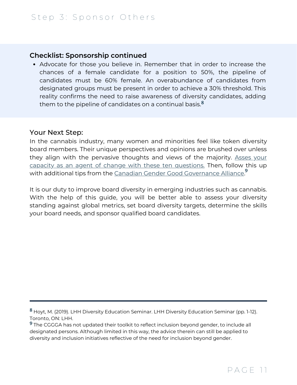#### **Checklist: Sponsorship continued**

Advocate for those you believe in. Remember that in order to increase the chances of a female candidate for a position to 50%, the pipeline of candidates must be 60% female. An overabundance of candidates from designated groups must be present in order to achieve a 30% threshold. This reality confirms the need to raise awareness of diversity candidates, adding them to the pipeline of candidates on a continual basis. **8**

#### Your Next Step:

In the cannabis industry, many women and minorities feel like token diversity board members. Their unique perspectives and opinions are brushed over unless they align with the pervasive thoughts and views of the majority. Asses your capacity as an agent of change with these ten [questions.](http://deborahrosati.ca/2019/02/board-diversity-are-you-an-agent-of-change/) Then, follow this up with additional tips from the Canadian Gender Good [Governance](https://www.cggga.ca/directors-playbook) Alliance. **9**

It is our duty to improve board diversity in emerging industries such as cannabis. With the help of this guide, you will be better able to assess your diversity standing against global metrics, set board diversity targets, determine the skills your board needs, and sponsor qualified board candidates.

Hoyt, M. (2019). LHH Diversity Education Seminar. LHH Diversity Education Seminar (pp. 1-12). **8** Toronto, ON: LHH.

The CGGGA has not updated their toolkit to reflect inclusion beyond gender, to include all **9** designated persons. Although limited in this way, the advice therein can still be applied to diversity and inclusion initiatives reflective of the need for inclusion beyond gender.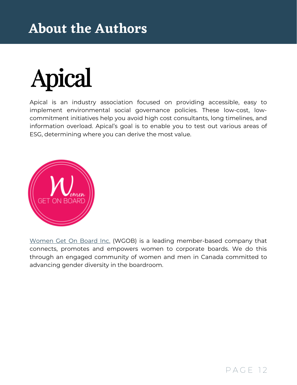## **About the Authors**



Apical is an industry association focused on providing accessible, easy to implement environmental social governance policies. These low-cost, lowcommitment initiatives help you avoid high cost consultants, long timelines, and information overload. Apical's goal is to enable you to test out various areas of ESG, determining where you can derive the most value.



[Women](http://c/Users/rcollz/Desktop/womengetonboard.ca) Get On Board Inc. (WGOB) is a leading member-based company that connects, promotes and empowers women to corporate boards. We do this through an engaged community of women and men in Canada committed to advancing gender diversity in the boardroom.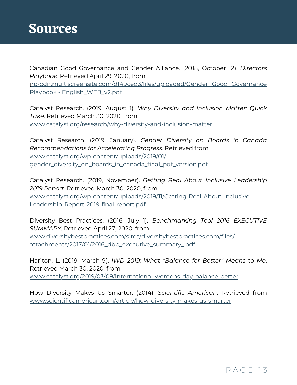Canadian Good Governance and Gender Alliance. (2018, October 12). *Directors Playbook*. Retrieved April 29, 2020, from [irp-cdn.multiscreensite.com/df49ced3/files/uploaded/Gender](https://irp-cdn.multiscreensite.com/df49ced3/files/uploaded/Gender%20Good%20Governance%20Playbook%20-%20English_WEB_v2.pdf) Good Governance Playbook - English\_WEB\_v2.pdf

Catalyst Research. (2019, August 1). *Why Diversity and Inclusion Matter: Quick Take*. Retrieved March 30, 2020, from [www.catalyst.org/research/why-diversity-and-inclusion-matter](https://www.catalyst.org/research/why-diversity-and-inclusion-matter/)

Catalyst Research. (2019, January). *Gender Diversity on Boards in Canada Recommendations for Accelerating Progress*. Retrieved from www.catalyst.org/wp-content/uploads/2019/01/ [gender\\_diversity\\_on\\_boards\\_in\\_canada\\_final\\_pdf\\_version.pdf](https://www.catalyst.org/wp-content/uploads/2019/01/%20gender_diversity_on_boards_in_canada_final_pdf_version.pdf)

Catalyst Research. (2019, November). *Getting Real About Inclusive Leadership 2019 Report*. Retrieved March 30, 2020, from [www.catalyst.org/wp-content/uploads/2019/11/Getting-Real-About-Inclusive-](https://www.catalyst.org/wp-content/uploads/2019/11/Getting-Real-About-Inclusive-Leadership-Report-2019-final-report.pdf)Leadership-Report-2019-final-report.pdf

Diversity Best Practices. (2016, July 1). *Benchmarking Tool 2016 EXECUTIVE SUMMARY*. Retrieved April 27, 2020, from [www.diversitybestpractices.com/sites/diversitybestpractices.com/files/](https://www.diversitybestpractices.com/sites/diversitybestpractices.com/files/attachments/2017/01/2016_dbp_executive_summary_.pdf) attachments/2017/01/2016\_dbp\_executive\_summary\_.pd[f](https://www.diversitybestpractices.com/sites/diversitybestpractices.com/files/attachments/2017/01/2016_dbp_executive_summary_.pdf)

Hariton, L. (2019, March 9). *IWD 2019: What "Balance for Better" Means to Me*. Retrieved March 30, 2020, from [www.catalyst.org/2019/03/09/international-womens-day-balance-better](https://www.catalyst.org/2019/03/09/international-womens-day-balance-better)

How Diversity Makes Us Smarter. (2014). *Scientific American*. Retrieved from [www.scientificamerican.com/article/how-diversity-makes-us-smarter](https://www.scientificamerican.com/article/how-diversity-makes-us-smarter)